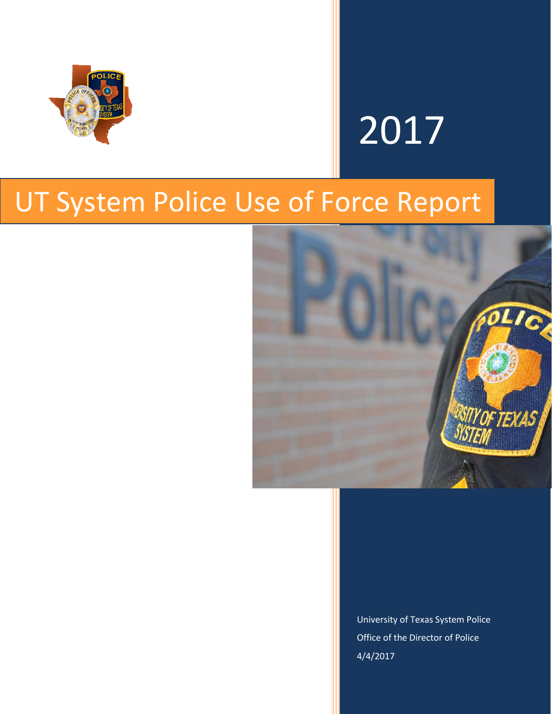

# 2017

## UT System Police Use of Force Report



University of Texas System Police Office of the Director of Police 4/4/2017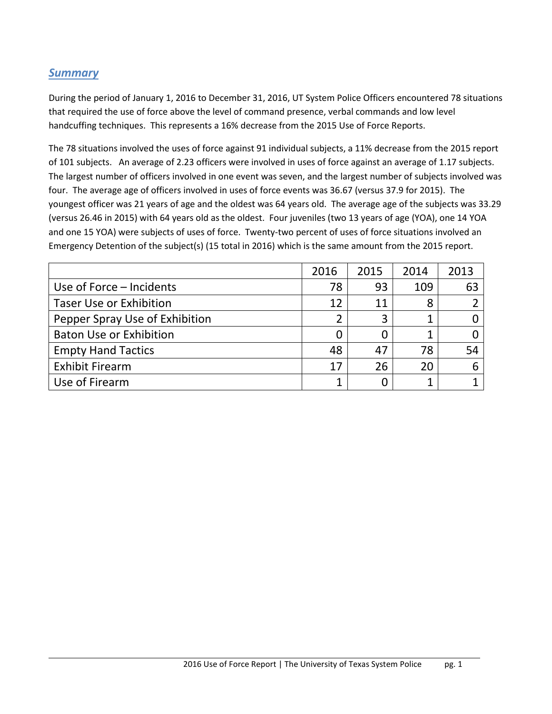### *Summary*

During the period of January 1, 2016 to December 31, 2016, UT System Police Officers encountered 78 situations that required the use of force above the level of command presence, verbal commands and low level handcuffing techniques. This represents a 16% decrease from the 2015 Use of Force Reports.

The 78 situations involved the uses of force against 91 individual subjects, a 11% decrease from the 2015 report of 101 subjects. An average of 2.23 officers were involved in uses of force against an average of 1.17 subjects. The largest number of officers involved in one event was seven, and the largest number of subjects involved was four. The average age of officers involved in uses of force events was 36.67 (versus 37.9 for 2015). The youngest officer was 21 years of age and the oldest was 64 years old. The average age of the subjects was 33.29 (versus 26.46 in 2015) with 64 years old as the oldest. Four juveniles (two 13 years of age (YOA), one 14 YOA and one 15 YOA) were subjects of uses of force. Twenty-two percent of uses of force situations involved an Emergency Detention of the subject(s) (15 total in 2016) which is the same amount from the 2015 report.

|                                | 2016 | 2015 | 2014 | 2013 |
|--------------------------------|------|------|------|------|
| Use of Force – Incidents       | 78   | 93   | 109  | 63   |
| <b>Taser Use or Exhibition</b> | 12   | 11   | 8    |      |
| Pepper Spray Use of Exhibition | 2    | 3    |      |      |
| <b>Baton Use or Exhibition</b> | 0    | 0    |      |      |
| <b>Empty Hand Tactics</b>      | 48   | 47   | 78   | 54   |
| <b>Exhibit Firearm</b>         | 17   | 26   | 20   |      |
| Use of Firearm                 |      |      |      |      |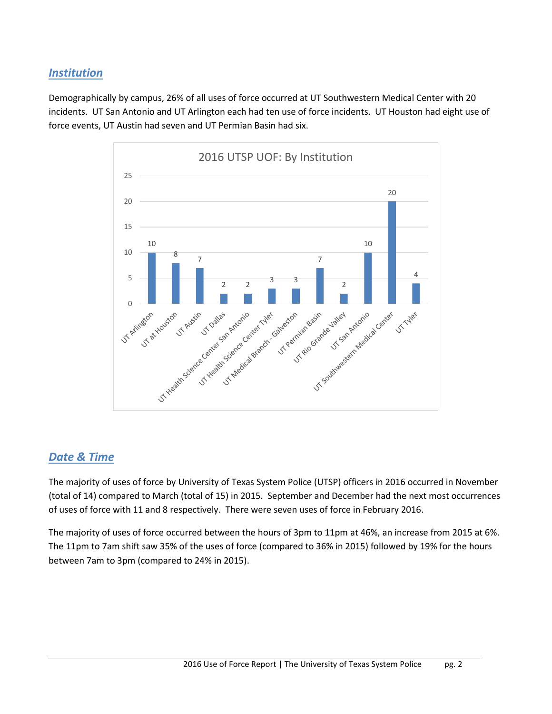### *Institution*

Demographically by campus, 26% of all uses of force occurred at UT Southwestern Medical Center with 20 incidents. UT San Antonio and UT Arlington each had ten use of force incidents. UT Houston had eight use of force events, UT Austin had seven and UT Permian Basin had six.



### *Date & Time*

The majority of uses of force by University of Texas System Police (UTSP) officers in 2016 occurred in November (total of 14) compared to March (total of 15) in 2015. September and December had the next most occurrences of uses of force with 11 and 8 respectively. There were seven uses of force in February 2016.

The majority of uses of force occurred between the hours of 3pm to 11pm at 46%, an increase from 2015 at 6%. The 11pm to 7am shift saw 35% of the uses of force (compared to 36% in 2015) followed by 19% for the hours between 7am to 3pm (compared to 24% in 2015).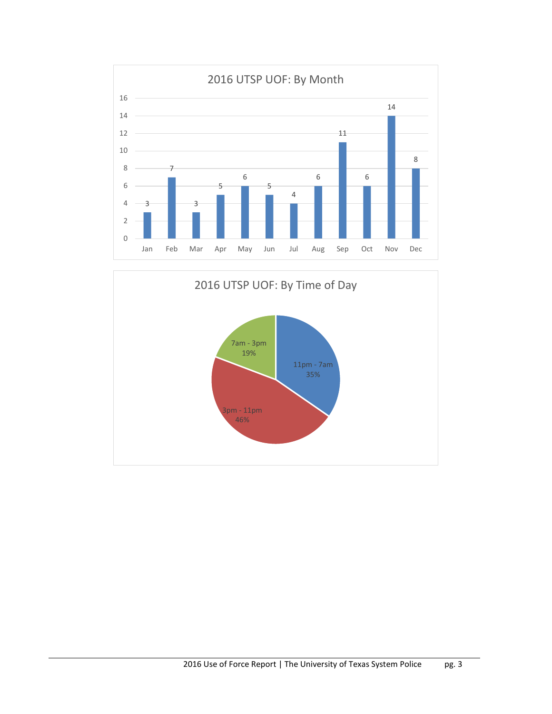

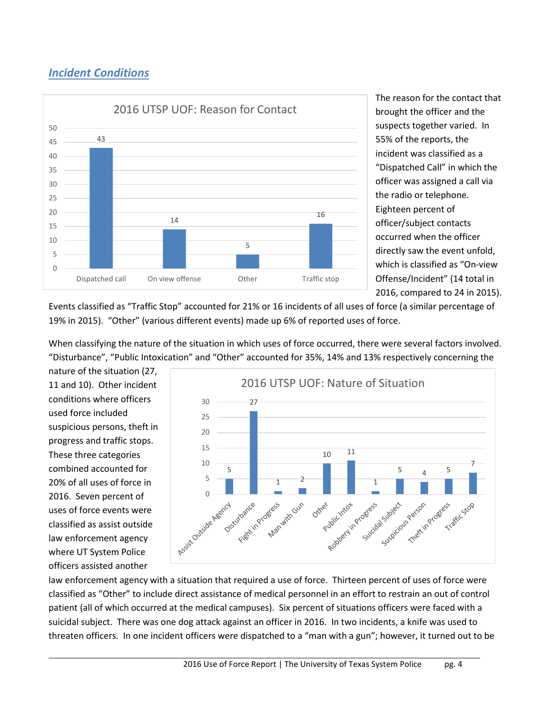### *Incident Conditions*



The reason for the contact that brought the officer and the suspects together varied. In 55% of the reports, the incident was classified as a "Dispatched Call" in which the officer was assigned a call via the radio or telephone. Eighteen percent of officer/subject contacts occurred when the officer directly saw the event unfold, which is classified as "On-view Offense/Incident" (14 total in 2016, compared to 24 in 2015).

Events classified as "Traffic Stop" accounted for 21% or 16 incidents of all uses of force (a similar percentage of 19% in 2015). "Other" (various different events) made up 6% of reported uses of force.

When classifying the nature of the situation in which uses of force occurred, there were several factors involved. "Disturbance", "Public Intoxication" and "Other" accounted for 35%, 14% and 13% respectively concerning the

nature of the situation (27, 11 and 10). Other incident conditions where officers used force included suspicious persons, theft in progress and traffic stops. These three categories combined accounted for 20% of all uses of force in 2016. Seven percent of uses of force events were classified as assist outside law enforcement agency where UT System Police officers assisted another



law enforcement agency with a situation that required a use of force. Thirteen percent of uses of force were classified as "Other" to include direct assistance of medical personnel in an effort to restrain an out of control patient (all of which occurred at the medical campuses). Six percent of situations officers were faced with a suicidal subject. There was one dog attack against an officer in 2016. In two incidents, a knife was used to threaten officers. In one incident officers were dispatched to a "man with a gun"; however, it turned out to be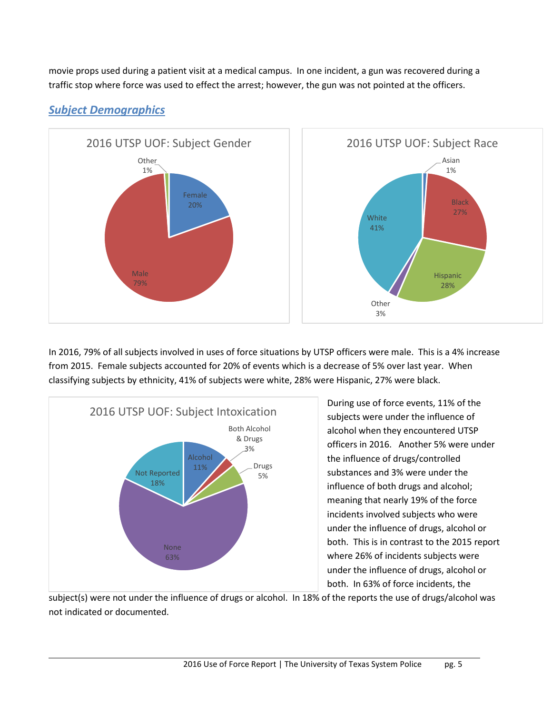movie props used during a patient visit at a medical campus. In one incident, a gun was recovered during a traffic stop where force was used to effect the arrest; however, the gun was not pointed at the officers.



### *Subject Demographics*

In 2016, 79% of all subjects involved in uses of force situations by UTSP officers were male. This is a 4% increase from 2015. Female subjects accounted for 20% of events which is a decrease of 5% over last year. When classifying subjects by ethnicity, 41% of subjects were white, 28% were Hispanic, 27% were black.



During use of force events, 11% of the subjects were under the influence of alcohol when they encountered UTSP officers in 2016. Another 5% were under the influence of drugs/controlled substances and 3% were under the influence of both drugs and alcohol; meaning that nearly 19% of the force incidents involved subjects who were under the influence of drugs, alcohol or both. This is in contrast to the 2015 report where 26% of incidents subjects were under the influence of drugs, alcohol or both. In 63% of force incidents, the

subject(s) were not under the influence of drugs or alcohol. In 18% of the reports the use of drugs/alcohol was not indicated or documented.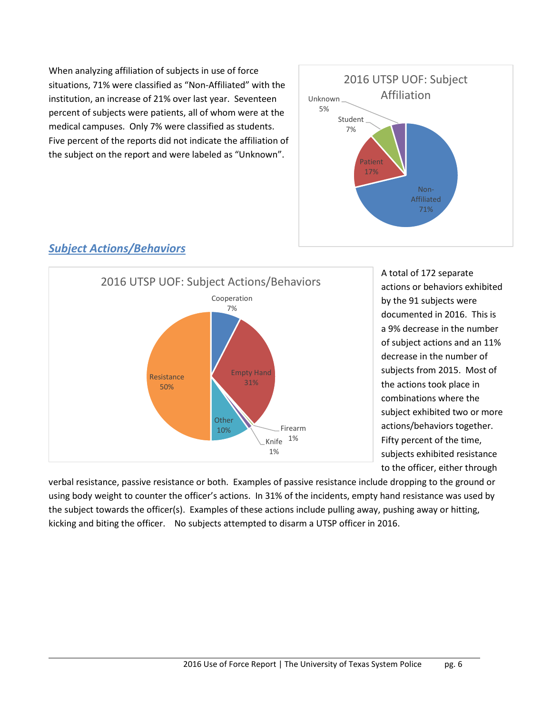When analyzing affiliation of subjects in use of force situations, 71% were classified as "Non-Affiliated" with the institution, an increase of 21% over last year. Seventeen percent of subjects were patients, all of whom were at the medical campuses. Only 7% were classified as students. Five percent of the reports did not indicate the affiliation of the subject on the report and were labeled as "Unknown".



### Cooperation 7% Empty Hand 31% Firearm 1% Knife 1% **Other** 10% Resistance 50% 2016 UTSP UOF: Subject Actions/Behaviors

A total of 172 separate actions or behaviors exhibited by the 91 subjects were documented in 2016. This is a 9% decrease in the number of subject actions and an 11% decrease in the number of subjects from 2015. Most of the actions took place in combinations where the subject exhibited two or more actions/behaviors together. Fifty percent of the time, subjects exhibited resistance to the officer, either through

verbal resistance, passive resistance or both. Examples of passive resistance include dropping to the ground or using body weight to counter the officer's actions. In 31% of the incidents, empty hand resistance was used by the subject towards the officer(s). Examples of these actions include pulling away, pushing away or hitting, kicking and biting the officer. No subjects attempted to disarm a UTSP officer in 2016.

*Subject Actions/Behaviors*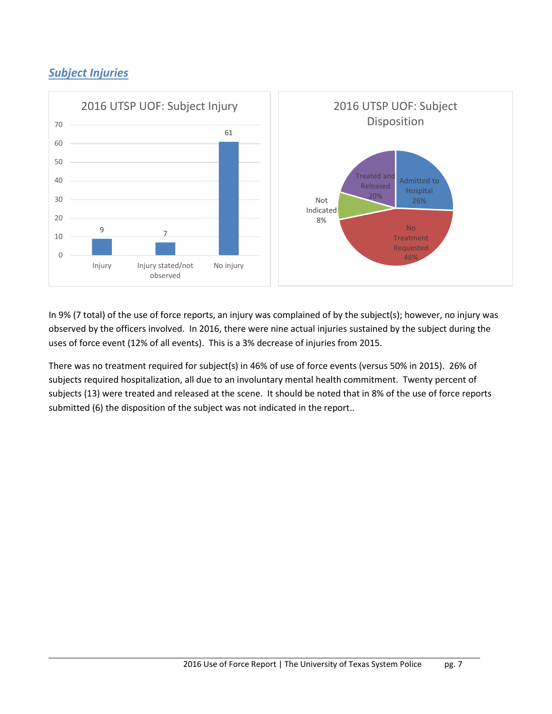### *Subject Injuries*



In 9% (7 total) of the use of force reports, an injury was complained of by the subject(s); however, no injury was observed by the officers involved. In 2016, there were nine actual injuries sustained by the subject during the uses of force event (12% of all events). This is a 3% decrease of injuries from 2015.

There was no treatment required for subject(s) in 46% of use of force events (versus 50% in 2015). 26% of subjects required hospitalization, all due to an involuntary mental health commitment. Twenty percent of subjects (13) were treated and released at the scene. It should be noted that in 8% of the use of force reports submitted (6) the disposition of the subject was not indicated in the report..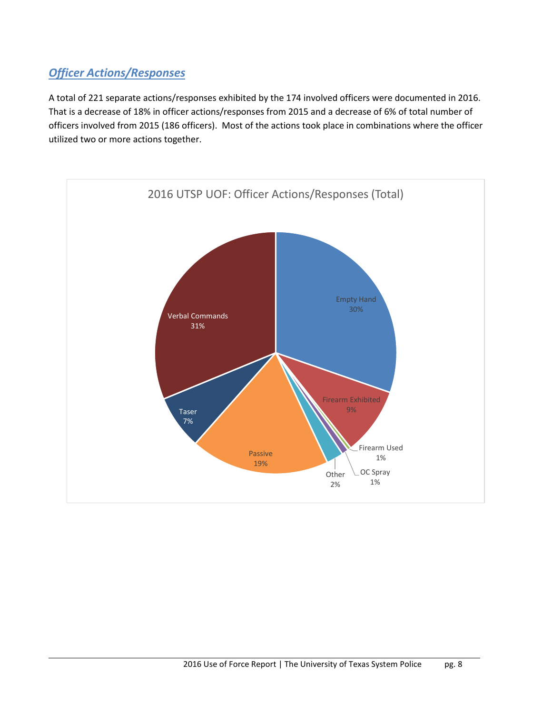### *Officer Actions/Responses*

A total of 221 separate actions/responses exhibited by the 174 involved officers were documented in 2016. That is a decrease of 18% in officer actions/responses from 2015 and a decrease of 6% of total number of officers involved from 2015 (186 officers). Most of the actions took place in combinations where the officer utilized two or more actions together.

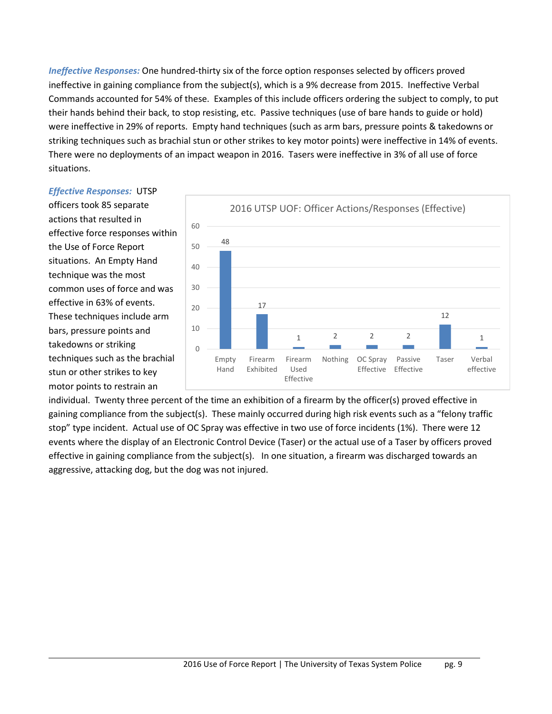*Ineffective Responses:* One hundred-thirty six of the force option responses selected by officers proved ineffective in gaining compliance from the subject(s), which is a 9% decrease from 2015. Ineffective Verbal Commands accounted for 54% of these. Examples of this include officers ordering the subject to comply, to put their hands behind their back, to stop resisting, etc. Passive techniques (use of bare hands to guide or hold) were ineffective in 29% of reports. Empty hand techniques (such as arm bars, pressure points & takedowns or striking techniques such as brachial stun or other strikes to key motor points) were ineffective in 14% of events. There were no deployments of an impact weapon in 2016. Tasers were ineffective in 3% of all use of force situations.

### *Effective Responses:* UTSP

officers took 85 separate actions that resulted in effective force responses within the Use of Force Report situations. An Empty Hand technique was the most common uses of force and was effective in 63% of events. These techniques include arm bars, pressure points and takedowns or striking techniques such as the brachial stun or other strikes to key motor points to restrain an



individual. Twenty three percent of the time an exhibition of a firearm by the officer(s) proved effective in gaining compliance from the subject(s). These mainly occurred during high risk events such as a "felony traffic stop" type incident. Actual use of OC Spray was effective in two use of force incidents (1%). There were 12 events where the display of an Electronic Control Device (Taser) or the actual use of a Taser by officers proved effective in gaining compliance from the subject(s). In one situation, a firearm was discharged towards an aggressive, attacking dog, but the dog was not injured.